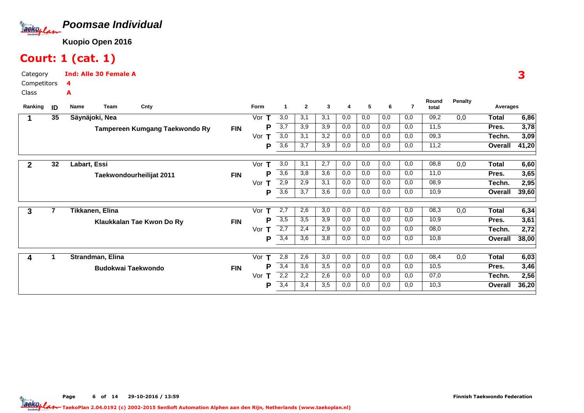

## Court: 1 (cat. 1)

Category CompetitorsInd: Alle 30 Female A4A

Class

| Ranking      | ID | Name         | Team                      | Cnty                           |            | Form     | 1                | $\mathbf{2}$ | 3   | 4   | 5   | 6   | 7   | Round<br>total | <b>Penalty</b> | Averages     |       |
|--------------|----|--------------|---------------------------|--------------------------------|------------|----------|------------------|--------------|-----|-----|-----|-----|-----|----------------|----------------|--------------|-------|
|              | 35 |              | Säynäjoki, Nea            |                                |            | Vor      | 3,0              | 3,1          | 3,1 | 0,0 | 0,0 | 0,0 | 0,0 | 09,2           | 0,0            | <b>Total</b> | 6,86  |
|              |    |              |                           | Tampereen Kumgang Taekwondo Ry | <b>FIN</b> | Р        | 3,7              | 3,9          | 3,9 | 0,0 | 0,0 | 0,0 | 0,0 | 11,5           |                | Pres.        | 3,78  |
|              |    |              |                           |                                |            | Vor<br>т | 3,0              | 3,1          | 3,2 | 0,0 | 0,0 | 0,0 | 0,0 | 09,3           |                | Techn.       | 3,09  |
|              |    |              |                           |                                |            | P        | 3,6              | 3,7          | 3,9 | 0,0 | 0,0 | 0,0 | 0,0 | 11,2           |                | Overall      | 41,20 |
| $\mathbf{2}$ | 32 | Labart, Essi |                           |                                |            | Vor      | 3,0              | 3,1          | 2,7 | 0,0 | 0,0 | 0,0 | 0,0 | 08,8           | 0,0            | Total        | 6,60  |
|              |    |              |                           | Taekwondourheilijat 2011       | <b>FIN</b> | P        | 3,6              | 3,8          | 3,6 | 0,0 | 0,0 | 0,0 | 0,0 | 11,0           |                | Pres.        | 3,65  |
|              |    |              |                           |                                |            | Vor<br>т | 2,9              | 2,9          | 3,1 | 0,0 | 0,0 | 0,0 | 0,0 | 08,9           |                | Techn.       | 2,95  |
|              |    |              |                           |                                |            | P        | 3,6              | 3,7          | 3,6 | 0,0 | 0,0 | 0,0 | 0,0 | 10,9           |                | Overall      | 39,60 |
| 3            | 7  |              | Tikkanen, Elina           |                                |            | Vor      | $\overline{2,7}$ | 2,6          | 3,0 | 0,0 | 0,0 | 0,0 | 0,0 | 08,3           | 0,0            | Total        | 6,34  |
|              |    |              |                           | Klaukkalan Tae Kwon Do Ry      | <b>FIN</b> | Р        | 3,5              | 3,5          | 3,9 | 0,0 | 0,0 | 0,0 | 0,0 | 10,9           |                | Pres.        | 3,61  |
|              |    |              |                           |                                |            | Vor<br>т | 2,7              | 2,4          | 2,9 | 0,0 | 0,0 | 0,0 | 0,0 | 08,0           |                | Techn.       | 2,72  |
|              |    |              |                           |                                |            | Р        | 3,4              | 3,6          | 3,8 | 0,0 | 0,0 | 0,0 | 0,0 | 10,8           |                | Overall      | 38,00 |
|              |    |              | Strandman, Elina          |                                |            | Vor      | 2,8              | 2,6          | 3,0 | 0,0 | 0,0 | 0,0 | 0,0 | 08,4           | 0,0            | Total        | 6,03  |
|              |    |              | <b>Budokwai Taekwondo</b> |                                | <b>FIN</b> | P        | 3,4              | 3,6          | 3,5 | 0,0 | 0,0 | 0,0 | 0,0 | 10,5           |                | Pres.        | 3,46  |
|              |    |              |                           |                                |            | Vor<br>т | 2,2              | 2,2          | 2,6 | 0,0 | 0,0 | 0,0 | 0,0 | 07,0           |                | Techn.       | 2,56  |
|              |    |              |                           |                                |            | P        | 3,4              | 3,4          | 3,5 | 0,0 | 0,0 | 0,0 | 0,0 | 10,3           |                | Overall      | 36,20 |
|              |    |              |                           |                                |            |          |                  |              |     |     |     |     |     |                |                |              |       |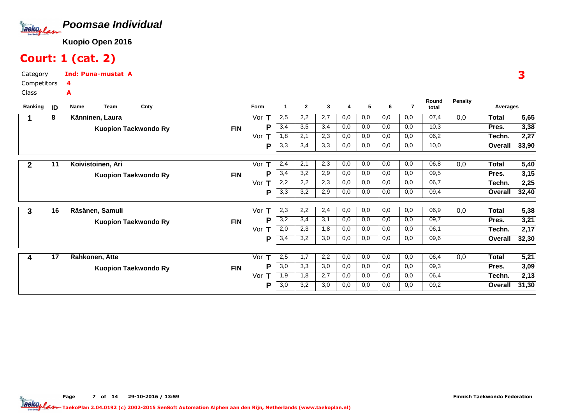

# Court: 1 (cat. 2)

Category CompetitorsClassInd: Puna-mustat A4A

| ID | Team<br><b>Name</b> | Cnty                                |                                                                                                                          | Form                     | -1              | $\mathbf{2}$ | 3   | 4   | 5   | 6   | 7   | Round<br>total | <b>Penalty</b> |              |                                          |
|----|---------------------|-------------------------------------|--------------------------------------------------------------------------------------------------------------------------|--------------------------|-----------------|--------------|-----|-----|-----|-----|-----|----------------|----------------|--------------|------------------------------------------|
| 8  | Känninen, Laura     |                                     |                                                                                                                          | Vor                      | 2,5             | 2,2          | 2,7 | 0,0 | 0,0 | 0,0 | 0,0 | 07,4           | 0,0            | <b>Total</b> | $\overline{5,65}$                        |
|    |                     |                                     | <b>FIN</b>                                                                                                               | P                        | 3,4             | 3,5          | 3,4 | 0,0 | 0,0 | 0,0 | 0,0 | 10,3           |                | Pres.        | 3,38                                     |
|    |                     |                                     |                                                                                                                          | Vor<br>т                 | 1,8             | 2,1          | 2,3 | 0,0 | 0,0 | 0,0 | 0,0 | 06,2           |                | Techn.       | 2,27                                     |
|    |                     |                                     |                                                                                                                          | P                        | 3,3             | 3,4          | 3,3 | 0,0 | 0,0 | 0,0 | 0,0 | 10,0           |                | Overall      | 33,90                                    |
|    |                     |                                     |                                                                                                                          |                          |                 |              |     |     |     |     |     |                |                |              | $\overline{5,40}$                        |
|    |                     |                                     |                                                                                                                          | Р                        | 3,4             | 3,2          | 2,9 | 0,0 | 0,0 | 0,0 | 0,0 | 09,5           |                | Pres.        | 3,15                                     |
|    |                     |                                     |                                                                                                                          | Vor<br>т                 | 2,2             | 2,2          | 2,3 | 0,0 | 0,0 | 0,0 | 0,0 | 06,7           |                | Techn.       | 2,25                                     |
|    |                     |                                     |                                                                                                                          | Р                        | 3,3             | 3,2          | 2,9 | 0,0 | 0,0 | 0,0 | 0,0 | 09,4           |                | Overall      | 32,40                                    |
| 16 | Räsänen, Samuli     |                                     |                                                                                                                          | Vor<br>т                 | 2,3             | 2,2          | 2,4 | 0,0 | 0,0 | 0,0 | 0,0 | 06,9           | 0,0            | <b>Total</b> | 5,38                                     |
|    |                     |                                     | <b>FIN</b>                                                                                                               | P                        | 3,2             | 3,4          | 3,1 | 0,0 | 0,0 | 0,0 | 0,0 | 09,7           |                | Pres.        | 3,21                                     |
|    |                     |                                     |                                                                                                                          | Vor<br>т                 | 2,0             | 2,3          | 1,8 | 0,0 | 0,0 | 0,0 | 0,0 | 06,1           |                | Techn.       | 2,17                                     |
|    |                     |                                     |                                                                                                                          | Р                        | 3,4             | 3,2          | 3,0 | 0,0 | 0,0 | 0,0 | 0,0 | 09,6           |                | Overall      | 32,30                                    |
|    |                     |                                     |                                                                                                                          | т                        | 2,5             | 1,7          | 2,2 | 0,0 | 0,0 | 0,0 | 0,0 |                |                |              | 5,21                                     |
|    |                     |                                     |                                                                                                                          | P                        | 3,0             | 3,3          | 3,0 | 0,0 | 0,0 | 0,0 | 0,0 | 09,3           |                | Pres.        | 3,09                                     |
|    |                     |                                     |                                                                                                                          | Vor<br>т                 | 1,9             | 1,8          | 2,7 | 0,0 | 0,0 | 0,0 | 0,0 | 06,4           |                | Techn.       | 2,13                                     |
|    |                     |                                     |                                                                                                                          | Р                        | 3,0             | 3,2          | 3,0 | 0,0 | 0,0 | 0,0 | 0,0 | 09,2           |                | Overall      | 31,30                                    |
|    | 11<br>17            | Koivistoinen, Ari<br>Rahkonen, Atte | <b>Kuopion Taekwondo Ry</b><br><b>Kuopion Taekwondo Ry</b><br><b>Kuopion Taekwondo Ry</b><br><b>Kuopion Taekwondo Ry</b> | <b>FIN</b><br><b>FIN</b> | Vor<br>т<br>Vor | 2,4          | 2,1 | 2,3 | 0,0 | 0,0 | 0,0 | 0,0            | 06,8<br>06,4   | 0,0<br>0,0   | Averages<br><b>Total</b><br><b>Total</b> |

3

Page 7 of 14 29-10-2016 / 13:59 7 of 14 29-10-2016 / 13:5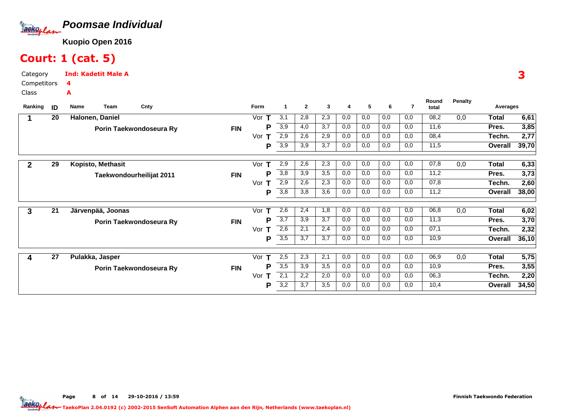

## Court: 1 (cat. 5)

Category CompetitorsClassInd: Kadetit Male A4A

| Ranking        | ID | <b>Name</b><br>Team | Cnty                     |            | Form     | $\mathbf 1$      | $\mathbf{2}$ | 3   | 4   | 5   | 6   | 7   | Round<br>total | <b>Penalty</b> | Averages     |       |
|----------------|----|---------------------|--------------------------|------------|----------|------------------|--------------|-----|-----|-----|-----|-----|----------------|----------------|--------------|-------|
|                | 20 | Halonen, Daniel     |                          |            | Vor      | 3,1              | 2,8          | 2,3 | 0,0 | 0,0 | 0,0 | 0,0 | 08,2           | 0,0            | <b>Total</b> | 6,61  |
|                |    |                     | Porin Taekwondoseura Ry  | <b>FIN</b> | P        | 3,9              | 4,0          | 3,7 | 0,0 | 0,0 | 0,0 | 0,0 | 11,6           |                | Pres.        | 3,85  |
|                |    |                     |                          |            | Vor<br>т | 2,9              | 2,6          | 2,9 | 0,0 | 0,0 | 0,0 | 0,0 | 08,4           |                | Techn.       | 2,77  |
|                |    |                     |                          |            | Р        | 3,9              | 3,9          | 3,7 | 0,0 | 0,0 | 0,0 | 0,0 | 11,5           |                | Overall      | 39,70 |
| $\overline{2}$ | 29 | Kopisto, Methasit   |                          |            | Vor<br>т | 2,9              | 2,6          | 2,3 | 0,0 | 0,0 | 0,0 | 0,0 | 07,8           | 0,0            | Total        | 6,33  |
|                |    |                     | Taekwondourheilijat 2011 | <b>FIN</b> | P        | 3,8              | 3,9          | 3,5 | 0,0 | 0,0 | 0,0 | 0,0 | 11,2           |                | Pres.        | 3,73  |
|                |    |                     |                          |            | Vor<br>т | 2,9              | 2,6          | 2,3 | 0,0 | 0,0 | 0,0 | 0,0 | 07,8           |                | Techn.       | 2,60  |
|                |    |                     |                          |            | Р        | 3,8              | 3,8          | 3,6 | 0,0 | 0,0 | 0,0 | 0,0 | 11,2           |                | Overall      | 38,00 |
| 3              | 21 | Järvenpää, Joonas   |                          |            | Vor<br>т | 2,6              | 2,4          | 1,8 | 0,0 | 0,0 | 0,0 | 0,0 | 06,8           | 0,0            | <b>Total</b> | 6,02  |
|                |    |                     |                          |            | P        | 3,7              | 3,9          | 3,7 | 0,0 | 0,0 | 0,0 | 0,0 | 11,3           |                | Pres.        | 3,70  |
|                |    |                     | Porin Taekwondoseura Ry  | <b>FIN</b> | т        | 2,6              | 2,1          | 2,4 | 0,0 | 0,0 | 0,0 | 0,0 | 07,1           |                |              |       |
|                |    |                     |                          |            | Vor      |                  |              |     |     |     |     |     |                |                | Techn.       | 2,32  |
|                |    |                     |                          |            | P        | $\overline{3,5}$ | 3,7          | 3,7 | 0,0 | 0,0 | 0,0 | 0,0 | 10,9           |                | Overall      | 36,10 |
| 4              | 27 | Pulakka, Jasper     |                          |            | т<br>Vor | 2,5              | 2,3          | 2,1 | 0,0 | 0,0 | 0,0 | 0,0 | 06,9           | 0,0            | <b>Total</b> | 5,75  |
|                |    |                     | Porin Taekwondoseura Ry  | <b>FIN</b> | Р        | 3,5              | 3,9          | 3,5 | 0,0 | 0,0 | 0,0 | 0,0 | 10,9           |                | Pres.        | 3,55  |
|                |    |                     |                          |            | Vor<br>т | $\overline{2,1}$ | 2,2          | 2,0 | 0,0 | 0,0 | 0,0 | 0,0 | 06,3           |                | Techn.       | 2,20  |
|                |    |                     |                          |            | P        | 3,2              | 3,7          | 3,5 | 0,0 | 0,0 | 0,0 | 0,0 | 10,4           |                | Overall      | 34,50 |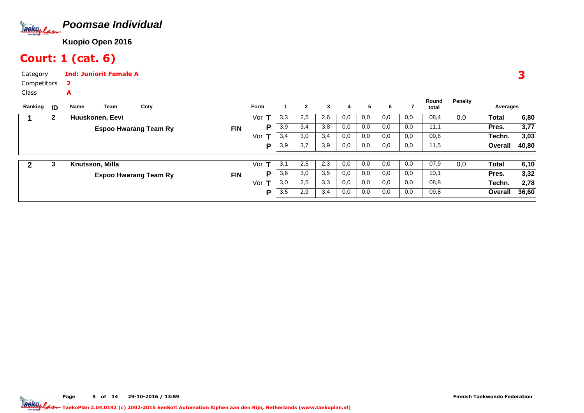

## Court: 1 (cat. 6)

A

Category CompetitorsInd: Juniorit Female A2

Class

| Ranking | -ID | Name            | Team | Cnty                         |            | Form                  |     | $\mathbf{2}$ | 3   | 4   | 5   | 6   |     | Round<br>total | Penalty | Averages |       |
|---------|-----|-----------------|------|------------------------------|------------|-----------------------|-----|--------------|-----|-----|-----|-----|-----|----------------|---------|----------|-------|
|         | 2   | Huuskonen, Eevi |      |                              |            | Vor                   | 3,3 | 2,5          | 2,6 | 0,0 | 0,0 | 0,0 | 0,0 | 08,4           | 0,0     | Total    | 6,80  |
|         |     |                 |      | <b>Espoo Hwarang Team Ry</b> | <b>FIN</b> | P                     | 3,9 | 3,4          | 3,8 | 0,0 | 0,0 | 0,0 | 0,0 | 11,1           |         | Pres.    | 3,77  |
|         |     |                 |      |                              |            | Vor                   | 3,4 | 3,0          | 3,4 | 0,0 | 0,0 | 0,0 | 0,0 | 09,8           |         | Techn.   | 3,03  |
|         |     |                 |      |                              |            | P                     | 3,9 | 3,7          | 3,9 | 0,0 | 0,0 | 0,0 | 0,0 | 11,5           |         | Overall  | 40,80 |
|         | 3   | Knutsson, Milla |      |                              |            | Vor<br>$\mathbf \tau$ | 3,1 | 2,5          | 2,3 | 0,0 | 0,0 | 0,0 | 0,0 | 07,9           | 0,0     | Total    | 6,10  |
|         |     |                 |      | <b>Espoo Hwarang Team Ry</b> | <b>FIN</b> | P                     | 3,6 | 3,0          | 3,5 | 0,0 | 0,0 | 0,0 | 0,0 | 10,1           |         | Pres.    | 3,32  |
|         |     |                 |      |                              |            | Vor<br>т              | 3,0 | 2,5          | 3,3 | 0,0 | 0,0 | 0,0 | 0,0 | 08,8           |         | Techn.   | 2,78  |
|         |     |                 |      |                              |            | P                     | 3,5 | 2,9          | 3,4 | 0,0 | 0,0 | 0,0 | 0,0 | 09,8           |         | Overall  | 36,60 |

3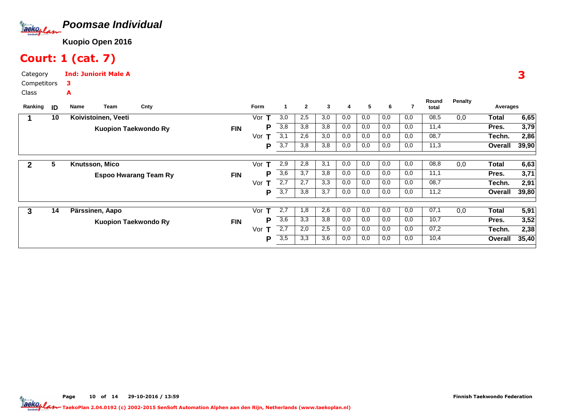

## Court: 1 (cat. 7)

Category CompetitorsClassInd: Juniorit Male A3A

| Ranking | ID | Team<br>Name                | Cnty                         |            | <b>Form</b> |     | $\mathbf{2}$ | 3   | 4   | 5   | 6   |     | Round<br>total | <b>Penalty</b> | Averages |       |
|---------|----|-----------------------------|------------------------------|------------|-------------|-----|--------------|-----|-----|-----|-----|-----|----------------|----------------|----------|-------|
|         | 10 | Koivistoinen, Veeti         |                              |            | Vor         | 3,0 | 2,5          | 3,0 | 0,0 | 0,0 | 0,0 | 0,0 | 08,5           | 0,0            | Total    | 6,65  |
|         |    |                             |                              |            |             |     |              |     |     |     |     |     |                |                |          |       |
|         |    | <b>Kuopion Taekwondo Ry</b> |                              | <b>FIN</b> | Р           | 3,8 | 3,8          | 3,8 | 0,0 | 0,0 | 0,0 | 0,0 | 11,4           |                | Pres.    | 3,79  |
|         |    |                             |                              |            | Vor         | 3,1 | 2,6          | 3,0 | 0,0 | 0,0 | 0,0 | 0,0 | 08,7           |                | Techn.   | 2,86  |
|         |    |                             |                              |            | Р           | 3,7 | 3,8          | 3,8 | 0,0 | 0,0 | 0,0 | 0,0 | 11,3           |                | Overall  | 39,90 |
|         |    |                             |                              |            |             |     |              |     |     |     |     |     |                |                |          |       |
| 2       | 5  | Knutsson, Mico              |                              |            | Vor<br>т    | 2,9 | 2,8          | 3,1 | 0,0 | 0,0 | 0,0 | 0,0 | 08,8           | 0,0            | Total    | 6,63  |
|         |    |                             | <b>Espoo Hwarang Team Ry</b> | <b>FIN</b> | Р           | 3,6 | 3,7          | 3,8 | 0,0 | 0,0 | 0,0 | 0,0 | 11,1           |                | Pres.    | 3,71  |
|         |    |                             |                              |            | Vor<br>т    | 2,7 | 2,7          | 3,3 | 0,0 | 0,0 | 0,0 | 0,0 | 08,7           |                | Techn.   | 2,91  |
|         |    |                             |                              |            | Р           | 3,7 | 3,8          | 3,7 | 0,0 | 0,0 | 0,0 | 0,0 | 11,2           |                | Overall  | 39,80 |
|         |    |                             |                              |            |             |     |              |     |     |     |     |     |                |                |          |       |
| 3       | 14 | Pärssinen, Aapo             |                              |            | Vor<br>т    | 2,7 | 1,8          | 2,6 | 0,0 | 0,0 | 0,0 | 0,0 | 07,1           | 0,0            | Total    | 5,91  |
|         |    | <b>Kuopion Taekwondo Ry</b> |                              | <b>FIN</b> | D           | 3,6 | 3,3          | 3,8 | 0,0 | 0,0 | 0,0 | 0,0 | 10,7           |                | Pres.    | 3,52  |
|         |    |                             |                              |            | Vor<br>т    | 2,7 | 2,0          | 2,5 | 0,0 | 0,0 | 0,0 | 0,0 | 07,2           |                | Techn.   | 2,38  |
|         |    |                             |                              |            | P           | 3,5 | 3,3          | 3,6 | 0,0 | 0,0 | 0,0 | 0,0 | 10,4           |                | Overall  | 35,40 |
|         |    |                             |                              |            |             |     |              |     |     |     |     |     |                |                |          |       |

3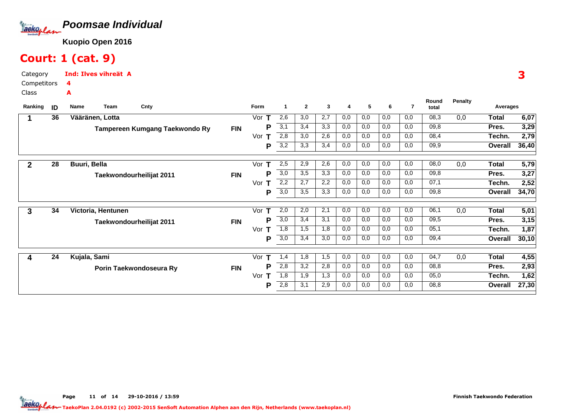

## Court: 1 (cat. 9)

Category CompetitorsInd: Ilves vihreät A4A

Class

| Ranking | ID | Name            | <b>Team</b>        | Cnty                           |            | Form     | 1                | $\mathbf{2}$ | 3   | 4   | 5   | 6   | $\overline{7}$ | Round<br>total | <b>Penalty</b> | Averages     |       |
|---------|----|-----------------|--------------------|--------------------------------|------------|----------|------------------|--------------|-----|-----|-----|-----|----------------|----------------|----------------|--------------|-------|
|         | 36 | Vääränen, Lotta |                    |                                |            | Vor<br>т | 2,6              | 3,0          | 2,7 | 0,0 | 0,0 | 0,0 | 0,0            | 08,3           | 0,0            | <b>Total</b> | 6,07  |
|         |    |                 |                    | Tampereen Kumgang Taekwondo Ry | <b>FIN</b> | Р        | 3,1              | 3,4          | 3,3 | 0,0 | 0,0 | 0,0 | 0,0            | 09,8           |                | Pres.        | 3,29  |
|         |    |                 |                    |                                |            | Vor      | 2,8              | 3,0          | 2,6 | 0,0 | 0,0 | 0,0 | 0,0            | 08,4           |                | Techn.       | 2,79  |
|         |    |                 |                    |                                |            | P        | $\overline{3,2}$ | 3,3          | 3,4 | 0,0 | 0,0 | 0,0 | 0,0            | 09,9           |                | Overall      | 36,40 |
|         | 28 | Buuri, Bella    |                    |                                |            | Vor      | 2,5              | 2,9          | 2,6 | 0,0 | 0,0 | 0,0 | 0,0            | 08,0           | 0,0            | <b>Total</b> | 5,79  |
|         |    |                 |                    | Taekwondourheilijat 2011       | <b>FIN</b> | P        | $\overline{3,0}$ | 3,5          | 3,3 | 0,0 | 0,0 | 0,0 | 0,0            | 09,8           |                | Pres.        | 3,27  |
|         |    |                 |                    |                                |            | Vor<br>т | 2,2              | 2,7          | 2,2 | 0,0 | 0,0 | 0,0 | 0,0            | 07,1           |                | Techn.       | 2,52  |
|         |    |                 |                    |                                |            | P        | 3,0              | 3,5          | 3,3 | 0,0 | 0,0 | 0,0 | 0,0            | 09,8           |                | Overall      | 34,70 |
| 3       | 34 |                 | Victoria, Hentunen |                                |            | Vor      | 2,0              | 2,0          | 2,1 | 0,0 | 0,0 | 0,0 | 0,0            | 06,1           | 0,0            | <b>Total</b> | 5,01  |
|         |    |                 |                    | Taekwondourheilijat 2011       | <b>FIN</b> | P        | 3,0              | 3,4          | 3,1 | 0,0 | 0,0 | 0,0 | 0,0            | 09,5           |                | Pres.        | 3,15  |
|         |    |                 |                    |                                |            | Vor<br>т | 1,8              | 1,5          | 1,8 | 0,0 | 0,0 | 0,0 | 0,0            | 05,1           |                | Techn.       | 1,87  |
|         |    |                 |                    |                                |            | P        | $\overline{3,0}$ | 3,4          | 3,0 | 0,0 | 0,0 | 0,0 | 0,0            | 09,4           |                | Overall      | 30,10 |
| 4       | 24 | Kujala, Sami    |                    |                                |            | Vor<br>т | 1,4              | 1,8          | 1,5 | 0,0 | 0,0 | 0,0 | 0,0            | 04,7           | 0,0            | Total        | 4,55  |
|         |    |                 |                    | Porin Taekwondoseura Ry        | <b>FIN</b> | P        | 2,8              | 3,2          | 2,8 | 0,0 | 0,0 | 0,0 | 0,0            | 08,8           |                | Pres.        | 2,93  |
|         |    |                 |                    |                                |            | Vor      | 1,8              | 1,9          | 1,3 | 0,0 | 0,0 | 0,0 | 0,0            | 05,0           |                | Techn.       | 1,62  |
|         |    |                 |                    |                                |            | P        | 2,8              | 3,1          | 2,9 | 0,0 | 0,0 | 0,0 | 0,0            | 08,8           |                | Overall      | 27,30 |
|         |    |                 |                    |                                |            |          |                  |              |     |     |     |     |                |                |                |              |       |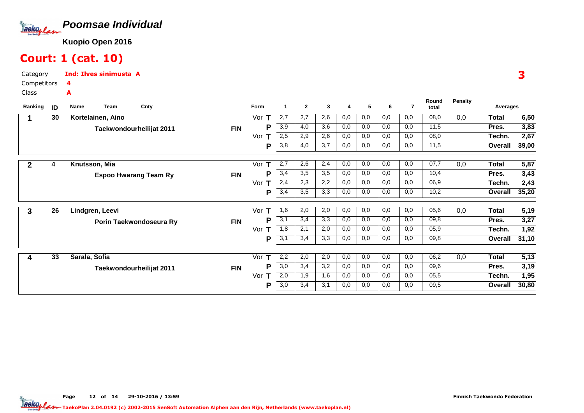

## Court: 1 (cat. 10)

A

Category CompetitorsInd: Ilves sinimusta A4

Class

| ID | Name<br>Team      | Cnty |                                                                                                                 | Form       | $\mathbf{1}$     | $\mathbf{2}$ | 3   | 4   | 5   | 6   | 7   | Round<br>total | <b>Penalty</b> | Averages     |       |
|----|-------------------|------|-----------------------------------------------------------------------------------------------------------------|------------|------------------|--------------|-----|-----|-----|-----|-----|----------------|----------------|--------------|-------|
| 30 | Kortelainen, Aino |      |                                                                                                                 | Vor        | 2,7              | 2,7          | 2,6 | 0,0 | 0,0 | 0,0 | 0,0 | 08,0           | 0,0            | <b>Total</b> | 6,50  |
|    |                   |      | <b>FIN</b>                                                                                                      | P          | 3,9              | 4,0          | 3,6 | 0,0 | 0,0 | 0,0 | 0,0 | 11,5           |                | Pres.        | 3,83  |
|    |                   |      |                                                                                                                 | Vor<br>т   | 2,5              | 2,9          | 2,6 | 0,0 | 0,0 | 0,0 | 0,0 | 08,0           |                | Techn.       | 2,67  |
|    |                   |      |                                                                                                                 | P          | 3,8              | 4,0          | 3,7 | 0,0 | 0,0 | 0,0 | 0,0 | 11,5           |                | Overall      | 39,00 |
| 4  | Knutsson, Mia     |      |                                                                                                                 | Vor        | 2,7              | 2,6          | 2,4 | 0,0 | 0,0 | 0,0 | 0,0 | 07,7           | 0,0            | Total        | 5,87  |
|    |                   |      | <b>FIN</b>                                                                                                      | P          | 3,4              | 3,5          | 3,5 | 0,0 | 0,0 | 0,0 | 0,0 | 10,4           |                | Pres.        | 3,43  |
|    |                   |      |                                                                                                                 | Vor<br>т   | 2,4              | 2,3          | 2,2 | 0,0 | 0,0 | 0,0 | 0,0 | 06,9           |                | Techn.       | 2,43  |
|    |                   |      |                                                                                                                 | Р          | 3,4              | 3,5          | 3,3 | 0,0 | 0,0 | 0,0 | 0,0 | 10,2           |                | Overall      | 35,20 |
| 26 | Lindgren, Leevi   |      |                                                                                                                 | Vor<br>т   | 1,6              | 2,0          | 2,0 | 0,0 | 0,0 | 0,0 | 0,0 | 05,6           | 0,0            | Total        | 5,19  |
|    |                   |      | <b>FIN</b>                                                                                                      | P          | 3,1              | 3,4          | 3,3 | 0,0 | 0,0 | 0,0 | 0,0 | 09,8           |                | Pres.        | 3,27  |
|    |                   |      |                                                                                                                 | Vor        | 1,8              | 2,1          | 2,0 | 0,0 | 0,0 | 0,0 | 0,0 | 05,9           |                | Techn.       | 1,92  |
|    |                   |      |                                                                                                                 | P          | $\overline{3,1}$ | 3,4          | 3,3 | 0,0 | 0,0 | 0,0 | 0,0 | 09,8           |                | Overall      | 31,10 |
| 33 | Sarala, Sofia     |      |                                                                                                                 | Т<br>Vor   | 2,2              | 2,0          | 2,0 | 0,0 | 0,0 | 0,0 | 0,0 | 06,2           | 0,0            | <b>Total</b> | 5,13  |
|    |                   |      |                                                                                                                 | Р          | 3,0              | 3,4          | 3,2 | 0,0 | 0,0 | 0,0 | 0,0 | 09,6           |                | Pres.        | 3,19  |
|    |                   |      |                                                                                                                 | Vor<br>т   | 2,0              | 1,9          | 1,6 | 0,0 | 0,0 | 0,0 | 0,0 | 05,5           |                | Techn.       | 1,95  |
|    |                   |      |                                                                                                                 | P          | 3,0              | 3,4          | 3,1 | 0,0 | 0,0 | 0,0 | 0,0 | 09,5           |                | Overall      | 30,80 |
|    |                   |      | Taekwondourheilijat 2011<br><b>Espoo Hwarang Team Ry</b><br>Porin Taekwondoseura Ry<br>Taekwondourheilijat 2011 | <b>FIN</b> |                  |              |     |     |     |     |     |                |                |              |       |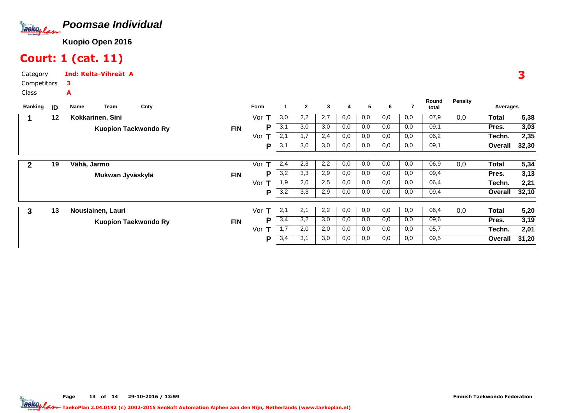

## Court: 1 (cat. 11)

Category CompetitorsInd: Kelta-Vihreät A3A

Class

| Ranking | ID | Cnty<br>Team<br>Name        |            | Form     |                  | $\mathbf{2}$ | 3   | 4   | 5   | 6   |     | Round<br>total | <b>Penalty</b> | Averages |       |
|---------|----|-----------------------------|------------|----------|------------------|--------------|-----|-----|-----|-----|-----|----------------|----------------|----------|-------|
|         | 12 | Kokkarinen, Sini            |            | Vor      | 3,0              | 2,2          | 2,7 | 0,0 | 0,0 | 0,0 | 0,0 | 07,9           | 0,0            | Total    | 5,38  |
|         |    | <b>Kuopion Taekwondo Ry</b> | <b>FIN</b> | P        | 3,1              | 3,0          | 3,0 | 0,0 | 0,0 | 0,0 | 0,0 | 09,1           |                | Pres.    | 3,03  |
|         |    |                             |            | Vor      | 2,1              | 1,7          | 2,4 | 0,0 | 0,0 | 0,0 | 0,0 | 06,2           |                | Techn.   | 2,35  |
|         |    |                             |            | P        | 3,1              | 3,0          | 3,0 | 0,0 | 0,0 | 0,0 | 0,0 | 09,1           |                | Overall  | 32,30 |
| 2       | 19 | Vähä, Jarmo                 |            | Vor<br>т | 2,4              | 2,3          | 2,2 | 0,0 | 0,0 | 0,0 | 0,0 | 06,9           | 0,0            | Total    | 5,34  |
|         |    | Mukwan Jyväskylä            | <b>FIN</b> | P        | 3,2              | 3,3          | 2,9 | 0,0 | 0,0 | 0,0 | 0,0 | 09,4           |                | Pres.    | 3,13  |
|         |    |                             |            | Vor<br>т | 1,9              | 2,0          | 2,5 | 0,0 | 0,0 | 0,0 | 0,0 | 06,4           |                | Techn.   | 2,21  |
|         |    |                             |            | P        | 3,2              | 3,3          | 2,9 | 0,0 | 0,0 | 0,0 | 0,0 | 09,4           |                | Overall  | 32,10 |
| 3       | 13 | Nousiainen, Lauri           |            | Vor<br>т | 2,1              | 2,1          | 2,2 | 0,0 | 0,0 | 0,0 | 0,0 | 06,4           | 0,0            | Total    | 5,20  |
|         |    | <b>Kuopion Taekwondo Ry</b> | <b>FIN</b> | P        | 3,4              | 3,2          | 3,0 | 0,0 | 0,0 | 0,0 | 0,0 | 09,6           |                | Pres.    | 3,19  |
|         |    |                             |            | Vor<br>т | $\overline{1,7}$ | 2,0          | 2,0 | 0,0 | 0,0 | 0,0 | 0,0 | 05,7           |                | Techn.   | 2,01  |
|         |    |                             |            | P        | 3,4              | 3,1          | 3,0 | 0,0 | 0,0 | 0,0 | 0,0 | 09,5           |                | Overall  | 31,20 |

3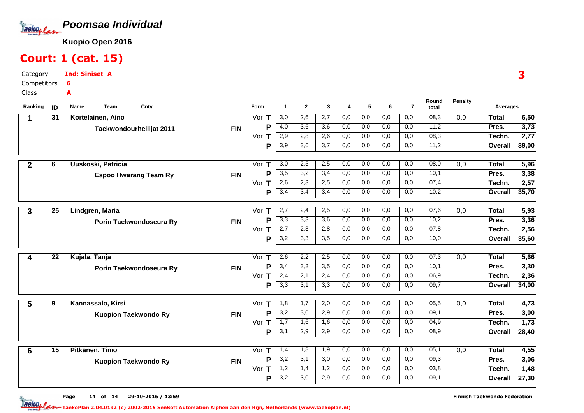

## Court: 1 (cat. 15)

Category CompetitorsInd: Siniset A6A

Class

| Ranking        | ID              | Team<br>Cnty<br>Name         |            | <b>Form</b>        | $\mathbf{1}$     | $\mathbf{2}$     | 3                | 4          | 5          | -6         | $\overline{7}$ | Round<br>total | <b>Penalty</b> | Averages       |               |
|----------------|-----------------|------------------------------|------------|--------------------|------------------|------------------|------------------|------------|------------|------------|----------------|----------------|----------------|----------------|---------------|
|                | 31              | Kortelainen, Aino            |            | Vor $T$            | $\overline{3,0}$ | 2,6              | 2,7              | 0,0        | 0,0        | 0,0        | 0,0            | 08,3           | 0,0            | Total          | 6,50          |
|                |                 | Taekwondourheilijat 2011     | <b>FIN</b> | P                  | $\overline{4,0}$ | 3,6              | 3,6              | 0,0        | 0,0        | 0,0        | 0,0            | 11,2           |                | Pres.          | 3,73          |
|                |                 |                              |            | Vor<br>т           | 2,9              | 2,8              | 2,6              | 0,0        | 0,0        | 0,0        | 0,0            | 08,3           |                | Techn.         | 2,77          |
|                |                 |                              |            | P                  | 3,9              | 3,6              | 3,7              | 0,0        | 0,0        | 0,0        | 0,0            | 11,2           |                | Overall        | 39,00         |
|                |                 |                              |            |                    |                  |                  |                  |            |            |            | 0,0            | 08,0           |                |                |               |
| $\overline{2}$ | 6               | Uuskoski, Patricia           |            | Vor<br>$\mathbf T$ | 3,0              | 2,5<br>3,2       | 2,5<br>3,4       | 0,0<br>0,0 | 0,0        | 0,0        | 0,0            | 10,1           | 0,0            | <b>Total</b>   | 5,96          |
|                |                 | <b>Espoo Hwarang Team Ry</b> | <b>FIN</b> | Þ<br>Vor           | 3,5<br>2,6       | 2,3              | 2,5              |            | 0,0        | 0,0        | 0,0            | 07,4           |                | Pres.          | 3,38          |
|                |                 |                              |            | т<br>P             | 3,4              | 3,4              | 3,4              | 0,0<br>0,0 | 0,0<br>0,0 | 0,0<br>0,0 | 0,0            | 10,2           |                | Techn.         | 2,57<br>35,70 |
|                |                 |                              |            |                    |                  |                  |                  |            |            |            |                |                |                | Overall        |               |
| 3              | $\overline{25}$ | Lindgren, Maria              |            | Vor<br>т           | 2,7              | 2,4              | 2,5              | 0,0        | 0,0        | 0,0        | 0,0            | 07,6           | 0,0            | <b>Total</b>   | 5,93          |
|                |                 | Porin Taekwondoseura Ry      | <b>FIN</b> | P                  | 3,3              | 3,3              | 3,6              | 0,0        | 0,0        | 0,0        | 0,0            | 10,2           |                | Pres.          | 3,36          |
|                |                 |                              |            | Vor $T$            | $\overline{2,7}$ | 2,3              | 2,8              | 0,0        | 0,0        | 0,0        | 0,0            | 07,8           |                | Techn.         | 2,56          |
|                |                 |                              |            | P                  | $\overline{3,2}$ | 3,3              | $\overline{3,5}$ | 0,0        | 0,0        | 0,0        | 0,0            | 10,0           |                | <b>Overall</b> | 35,60         |
|                |                 |                              |            |                    |                  |                  |                  |            |            |            |                |                |                |                |               |
| 4              | 22              | Kujala, Tanja                |            | Vor<br>т           | 2,6              | 2,2              | 2,5              | 0,0        | 0,0        | 0,0        | 0,0            | 07,3           | 0,0            | <b>Total</b>   | 5,66          |
|                |                 | Porin Taekwondoseura Ry      | <b>FIN</b> | Þ                  | 3,4              | 3,2              | 3,5              | 0,0        | 0,0        | 0,0        | 0,0            | 10,1           |                | Pres.          | 3,30          |
|                |                 |                              |            | Vor $T$            | 2,4              | 2,1              | 2,4              | 0,0        | 0,0        | 0,0        | 0,0            | 06,9           |                | Techn.         | 2,36          |
|                |                 |                              |            | P                  | 3,3              | 3,1              | 3,3              | 0,0        | 0,0        | 0,0        | 0,0            | 09,7           |                | Overall        | 34,00         |
| 5              | 9               | Kannassalo, Kirsi            |            | Vor T              | 1,8              | 1,7              | 2,0              | 0,0        | 0,0        | 0,0        | 0,0            | 05,5           | 0,0            | <b>Total</b>   | 4,73          |
|                |                 | <b>Kuopion Taekwondo Ry</b>  | <b>FIN</b> | Þ                  | 3,2              | $\overline{3,0}$ | 2,9              | 0,0        | 0,0        | 0,0        | 0,0            | 09,1           |                | Pres.          | 3,00          |
|                |                 |                              |            | Vor $T$            | $\overline{1,7}$ | 1,6              | 1,6              | 0,0        | 0,0        | 0,0        | 0,0            | 04,9           |                | Techn.         | 1,73          |
|                |                 |                              |            | P                  | $\overline{3,1}$ | 2,9              | 2,9              | 0,0        | 0,0        | 0,0        | 0,0            | 08,9           |                | Overall        | 28,40         |
|                |                 |                              |            |                    |                  |                  |                  |            |            |            |                |                |                |                |               |
| 6              | 15              | Pitkänen, Timo               |            | Vor $T$            | 1,4              | 1,8              | 1,9              | 0,0        | 0,0        | 0,0        | 0,0            | 05,1           | 0,0            | <b>Total</b>   | 4,55          |
|                |                 | <b>Kuopion Taekwondo Ry</b>  | <b>FIN</b> | P                  | 3,2              | 3,1              | 3,0              | 0,0        | 0,0        | 0,0        | 0,0            | 09,3           |                | Pres.          | 3,06          |
|                |                 |                              |            | Vor $T$            | 1,2              | 1,4              | 1,2              | 0,0        | 0,0        | 0,0        | 0,0            | 03,8           |                | Techn.         | 1,48          |
|                |                 |                              |            | Р                  | 3,2              | $\overline{3,0}$ | 2,9              | 0,0        | 0,0        | 0,0        | 0,0            | 09,1           |                | Overall        | 27,30         |

3

Page 14 of 14 29-10-2016 / 13:59 14 of 14 29-10-2016 / 13:5

Finnish Taekwondo Federation

TaekoPlan 2.04.0192 (c) 2002-2015 SenSoft Automation Alphen aan den Rijn, Netherlands (www.taekoplan.nl)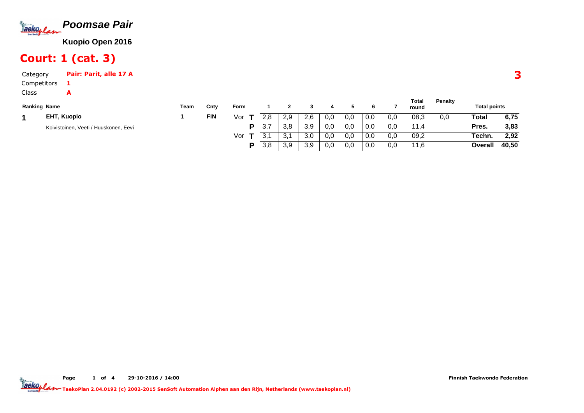

# Court: 1 (cat. 3)

A

Category Pair: Parit, alle 17 ACompetitors1

Class

| <b>Ranking Name</b> |                                       | Team | Cnty       | <b>Form</b> |     |     |            |     |     |     |     | Total<br>round | <b>Penalty</b> | <b>Total points</b> |       |
|---------------------|---------------------------------------|------|------------|-------------|-----|-----|------------|-----|-----|-----|-----|----------------|----------------|---------------------|-------|
|                     | <b>EHT, Kuopio</b>                    |      | <b>FIN</b> | Vor         | 2.8 | 2,9 | 2.6        | 0,0 | 0,0 | 0,0 | 0,0 | 08,3           | 0.0            | Total               | 6,75  |
|                     | Koivistoinen, Veeti / Huuskonen, Eevi |      |            | D           | 3,7 | 3,8 | 3 O<br>J.c | 0,0 | 0,0 | 0,0 | 0,0 | 11/<br>1.4     |                | Pres.               | 3,83  |
|                     |                                       |      |            | Vor         |     | 3,1 | 3,0        | 0,0 | 0,0 | 0,0 | 0,0 | 09,2           |                | Techn.              | 2,92  |
|                     |                                       |      |            | D           | 3,8 | 3,9 | 3,9        | 0,0 | 0,0 | 0,0 | 0,0 | 11,6           |                | Overall             | 40,50 |

TaekoPlan 2.04.0192 (c) 2002-2015 SenSoft Automation Alphen aan den Rijn, Netherlands (www.taekoplan.nl)

3

**Total**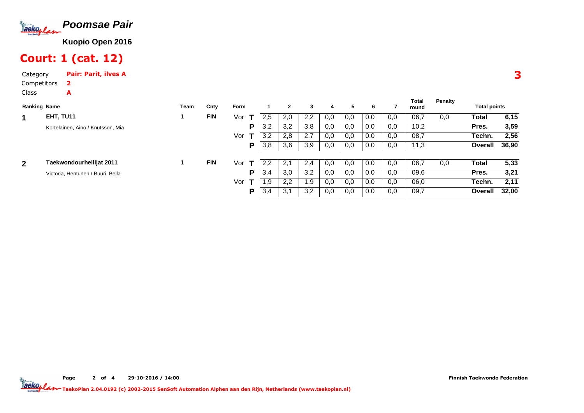

# Court: 1 (cat. 12)

Category Pair: Parit, ilves ACompetitorsClass2A

| <b>Ranking Name</b> |                                   | Team | Cnty       | Form |     | $\mathbf{2}$ | 3             | 4   | 5   | 6   |     | Total<br>round | Penalty | <b>Total points</b> |       |
|---------------------|-----------------------------------|------|------------|------|-----|--------------|---------------|-----|-----|-----|-----|----------------|---------|---------------------|-------|
| 1                   | EHT, TU11                         |      | <b>FIN</b> | Vor  | 2.5 | 2,0          | 2.2           | 0,0 | 0.0 | 0,0 | 0,0 | 06,7           | 0,0     | Total               | 6,15  |
|                     | Kortelainen, Aino / Knutsson, Mia |      |            | P    | 3,2 | 3,2          | 3,8           | 0,0 | 0,0 | 0,0 | 0,0 | 10,2           |         | Pres.               | 3,59  |
|                     |                                   |      |            | Vor  | 3,2 | 2,8          | 2.7           | 0,0 | 0,0 | 0,0 | 0,0 | 08,7           |         | Techn.              | 2,56  |
|                     |                                   |      |            | Р    | 3,8 | 3,6          | 3,9           | 0,0 | 0,0 | 0,0 | 0,0 | 11,3           |         | Overall             | 36,90 |
| $\overline{2}$      | Taekwondourheilijat 2011          |      | <b>FIN</b> | Vor  | 2.2 | 2.1          | $2.4^{\circ}$ | 0.0 | 0.0 | 0,0 | 0,0 | 06,7           | 0,0     | Total               | 5,33  |
|                     | Victoria, Hentunen / Buuri, Bella |      |            | P    | 3,4 | 3,0          | 3,2           | 0,0 | 0,0 | 0,0 | 0,0 | 09,6           |         | Pres.               | 3,21  |
|                     |                                   |      |            | Vor  | .9  | 2,2          | 9.۱           | 0,0 | 0,0 | 0,0 | 0,0 | 06,0           |         | Techn.              | 2,11  |
|                     |                                   |      |            | Р    | 3,4 | 3,1          | 3.2           | 0,0 | 0,0 | 0,0 | 0,0 | 09,7           |         | <b>Overall</b>      | 32.00 |

3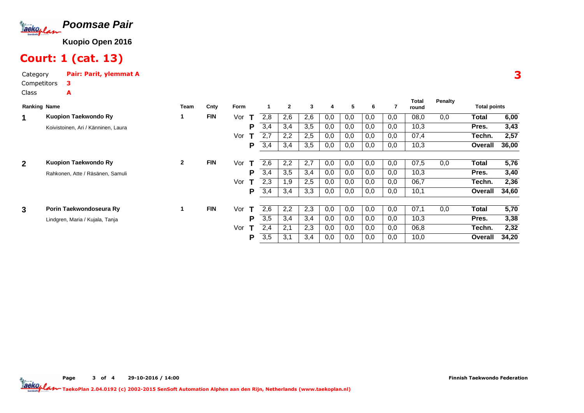

# Court: 1 (cat. 13)

Category Pair: Parit, ylemmat ACompetitorsClass3A

| <b>Ranking Name</b> |                                     | Team         | Cnty       | Form |     | $\overline{2}$ | 3   | 4   | 5   | 6   |     | Total<br>round | Penalty | <b>Total points</b> |       |
|---------------------|-------------------------------------|--------------|------------|------|-----|----------------|-----|-----|-----|-----|-----|----------------|---------|---------------------|-------|
| 1                   | Kuopion Taekwondo Ry                |              | <b>FIN</b> | Vor  | 2.8 | 2,6            | 2,6 | 0,0 | 0,0 | 0,0 | 0,0 | 08,0           | 0,0     | Total               | 6,00  |
|                     | Koivistoinen, Ari / Känninen, Laura |              |            | P    | 3,4 | 3,4            | 3,5 | 0,0 | 0,0 | 0,0 | 0,0 | 10,3           |         | Pres.               | 3,43  |
|                     |                                     |              |            | Vor  | 2,7 | 2,2            | 2,5 | 0,0 | 0,0 | 0,0 | 0,0 | 07,4           |         | Techn.              | 2,57  |
|                     |                                     |              |            | P    | 3,4 | 3,4            | 3,5 | 0,0 | 0,0 | 0,0 | 0,0 | 10,3           |         | Overall             | 36,00 |
| $\overline{2}$      | Kuopion Taekwondo Ry                | $\mathbf{2}$ | <b>FIN</b> | Vor  | 2,6 | 2,2            | 2,7 | 0,0 | 0,0 | 0,0 | 0,0 | 07,5           | 0,0     | Total               | 5,76  |
|                     | Rahkonen, Atte / Räsänen, Samuli    |              |            | P    | 3,4 | 3,5            | 3,4 | 0,0 | 0,0 | 0,0 | 0,0 | 10,3           |         | Pres.               | 3,40  |
|                     |                                     |              |            | Vor  | 2.3 | .9             | 2,5 | 0,0 | 0,0 | 0,0 | 0,0 | 06,7           |         | Techn.              | 2,36  |
|                     |                                     |              |            | P    | 3,4 | 3,4            | 3,3 | 0,0 | 0,0 | 0,0 | 0,0 | 10,1           |         | Overall             | 34,60 |
|                     |                                     |              |            |      |     |                |     |     |     |     |     |                |         |                     |       |
| 3                   | Porin Taekwondoseura Ry             | 1.           | <b>FIN</b> | Vor  | 2,6 | 2,2            | 2,3 | 0,0 | 0.0 | 0,0 | 0,0 | 07,1           | 0.0     | Total               | 5,70  |
|                     | Lindgren, Maria / Kujala, Tanja     |              |            | P    | 3,5 | 3,4            | 3,4 | 0,0 | 0,0 | 0,0 | 0,0 | 10,3           |         | Pres.               | 3,38  |
|                     |                                     |              |            | Vor  | 2,4 | 2,1            | 2,3 | 0,0 | 0,0 | 0,0 | 0,0 | 06,8           |         | Techn.              | 2,32  |
|                     |                                     |              |            | Р    | 3,5 | 3,1            | 3,4 | 0,0 | 0,0 | 0,0 | 0,0 | 10,0           |         | Overall             | 34,20 |

Page 3 of 4 29-10-2016 / 14:00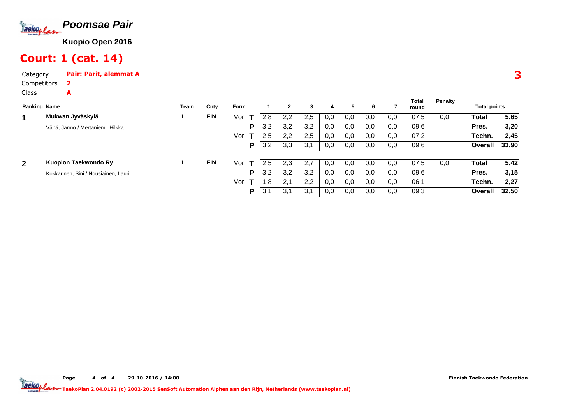

## Court: 1 (cat. 14)

Category Pair: Parit, alemmat ACompetitors2A

Class

| <b>Ranking Name</b> |                                      | <b>Team</b> | Cnty       | Form |     | $\mathbf{2}$ | 3   | 4   | 5   | 6   |     | Total<br>round | <b>Penalty</b> | <b>Total points</b> |       |
|---------------------|--------------------------------------|-------------|------------|------|-----|--------------|-----|-----|-----|-----|-----|----------------|----------------|---------------------|-------|
| 1                   | Mukwan Jyväskylä                     |             | <b>FIN</b> | Vor  | 2.8 | 2,2          | 2,5 | 0,0 | 0,0 | 0,0 | 0,0 | 07,5           | 0,0            | Total               | 5,65  |
|                     | Vähä, Jarmo / Mertaniemi, Hilkka     |             |            | P    | 3,2 | 3,2          | 3,2 | 0,0 | 0,0 | 0,0 | 0,0 | 09,6           |                | Pres.               | 3,20  |
|                     |                                      |             |            | Vor  | 2,5 | 2,2          | 2,5 | 0,0 | 0,0 | 0,0 | 0,0 | 07,2           |                | Techn.              | 2,45  |
|                     |                                      |             |            | P    | 3,2 | 3,3          | 3,1 | 0,0 | 0,0 | 0,0 | 0,0 | 09,6           |                | Overall             | 33,90 |
| $\overline{2}$      | Kuopion Taekwondo Ry                 |             | <b>FIN</b> | Vor  | 2.5 | 2,3          | 2.7 | 0,0 | 0,0 | 0,0 | 0,0 | 07,5           | 0,0            | Total               | 5,42  |
|                     | Kokkarinen, Sini / Nousiainen, Lauri |             |            | D    | 3,2 | 3,2          | 3,2 | 0,0 | 0,0 | 0,0 | 0,0 | 09,6           |                | Pres.               | 3,15  |
|                     |                                      |             |            | Vor  | . 8 | 2.1          | 2,2 | 0,0 | 0,0 | 0,0 | 0,0 | 06,1           |                | Techn.              | 2,27  |
|                     |                                      |             |            | P    | 3,1 | 3,1          | 3,1 | 0,0 | 0,0 | 0,0 | 0,0 | 09,3           |                | Overall             | 32,50 |

3

Page 4 of 4 29-10-2016 / 14:00

Finnish Taekwondo Federation